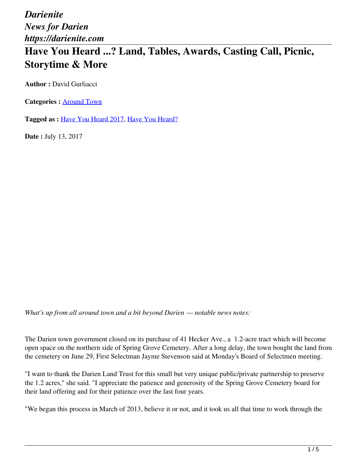*Darienite News for Darien https://darienite.com*

## **Have You Heard ...? Land, Tables, Awards, Casting Call, Picnic, Storytime & More**

**Author :** David Gurliacci

**Categories :** [Around Town](https://darienite.com/category/news/around-town)

**Tagged as :** Have You Heard 2017, Have You Heard?

**Date :** July 13, 2017

*What's up from all around town and a bit beyond Darien — notable news notes:*

The Darien town government closed on its purchase of 41 Hecker Ave., a 1.2-acre tract which will become open space on the northern side of Spring Grove Cemetery. After a long delay, the town bought the land from the cemetery on June 29, First Selectman Jayme Stevenson said at Monday's Board of Selectmen meeting.

"I want to thank the Darien Land Trust for this small but very unique public/private partnership to preserve the 1.2 acres," she said. "I appreciate the patience and generosity of the Spring Grove Cemetery board for their land offering and for their patience over the last four years.

"We began this process in March of 2013, believe it or not, and it took us all that time to work through the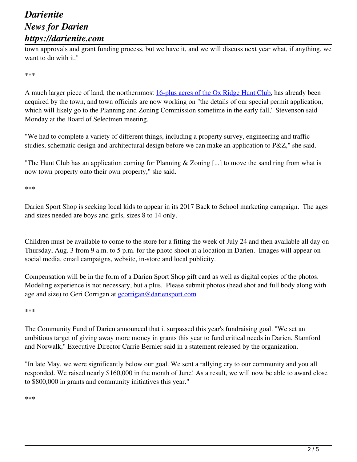## *Darienite News for Darien https://darienite.com*

town approvals and grant funding process, but we have it, and we will discuss next year what, if anything, we want to do with it."

\*\*\*

A much larger piece of land, the northernmost 16-plus acres of the Ox Ridge Hunt Club, has already been acquired by the town, and town officials are now working on "the details of our special permit application, which will likely go to the Planning and Zoning Commission sometime in the early fall," Stevenson said Monday at the Board of Selectmen meeting.

"We had to complete a variety of different things, including a property survey, engineering and traffic studies, schematic design and architectural design before we can make an application to P&Z," she said.

"The Hunt Club has an application coming for Planning & Zoning [...] to move the sand ring from what is now town property onto their own property," she said.

\*\*\*

Darien Sport Shop is seeking local kids to appear in its 2017 Back to School marketing campaign. The ages and sizes needed are boys and girls, sizes 8 to 14 only.

Children must be available to come to the store for a fitting the week of July 24 and then available all day on Thursday, Aug. 3 from 9 a.m. to 5 p.m. for the photo shoot at a location in Darien. Images will appear on social media, email campaigns, website, in-store and local publicity.

Compensation will be in the form of a Darien Sport Shop gift card as well as digital copies of the photos. Modeling experience is not necessary, but a plus. Please submit photos (head shot and full body along with age and size) to Geri Corrigan at **gcorrigan@dariensport.com**.

\*\*\*

The Community Fund of Darien announced that it surpassed this year's fundraising goal. "We set an ambitious target of giving away more money in grants this year to fund critical needs in Darien, Stamford and Norwalk," Executive Director Carrie Bernier said in a statement released by the organization.

"In late May, we were significantly below our goal. We sent a rallying cry to our community and you all responded. We raised nearly \$160,000 in the month of June! As a result, we will now be able to award close to \$800,000 in grants and community initiatives this year."

\*\*\*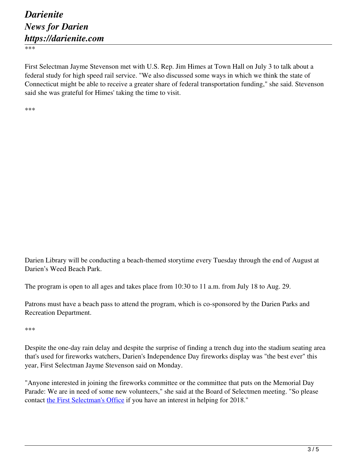\*\*\*

First Selectman Jayme Stevenson met with U.S. Rep. Jim Himes at Town Hall on July 3 to talk about a federal study for high speed rail service. "We also discussed some ways in which we think the state of Connecticut might be able to receive a greater share of federal transportation funding," she said. Stevenson said she was grateful for Himes' taking the time to visit.

\*\*\*

Darien Library will be conducting a beach-themed storytime every Tuesday through the end of August at Darien's Weed Beach Park.

The program is open to all ages and takes place from 10:30 to 11 a.m. from July 18 to Aug. 29.

Patrons must have a beach pass to attend the program, which is co-sponsored by the Darien Parks and Recreation Department.

\*\*\*

Despite the one-day rain delay and despite the surprise of finding a trench dug into the stadium seating area that's used for fireworks watchers, Darien's Independence Day fireworks display was "the best ever" this year, First Selectman Jayme Stevenson said on Monday.

"Anyone interested in joining the fireworks committee or the committee that puts on the Memorial Day Parade: We are in need of some new volunteers," she said at the Board of Selectmen meeting. "So please contact the First Selectman's Office if you have an interest in helping for 2018."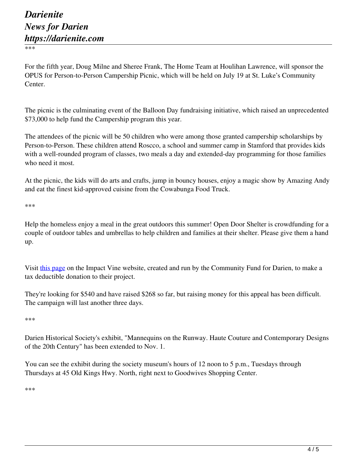\*\*\*

For the fifth year, Doug Milne and Sheree Frank, The Home Team at Houlihan Lawrence, will sponsor the OPUS for Person-to-Person Campership Picnic, which will be held on July 19 at St. Luke's Community Center.

The picnic is the culminating event of the Balloon Day fundraising initiative, which raised an unprecedented \$73,000 to help fund the Campership program this year.

The attendees of the picnic will be 50 children who were among those granted campership scholarships by Person-to-Person. These children attend Roscco, a school and summer camp in Stamford that provides kids with a well-rounded program of classes, two meals a day and extended-day programming for those families who need it most.

At the picnic, the kids will do arts and crafts, jump in bouncy houses, enjoy a magic show by Amazing Andy and eat the finest kid-approved cuisine from the Cowabunga Food Truck.

\*\*\*

Help the homeless enjoy a meal in the great outdoors this summer! Open Door Shelter is crowdfunding for a couple of outdoor tables and umbrellas to help children and families at their shelter. Please give them a hand up.

Visit this page on the Impact Vine website, created and run by the Community Fund for Darien, to make a tax deductible donation to their project.

They're looking for \$540 and have raised \$268 so far, but raising money for this appeal has been difficult. The campaign will last another three days.

\*\*\*

Darien Historical Society's exhibit, "Mannequins on the Runway. Haute Couture and Contemporary Designs of the 20th Century" has been extended to Nov. 1.

You can see the exhibit during the society museum's hours of 12 noon to 5 p.m., Tuesdays through Thursdays at 45 Old Kings Hwy. North, right next to Goodwives Shopping Center.

\*\*\*